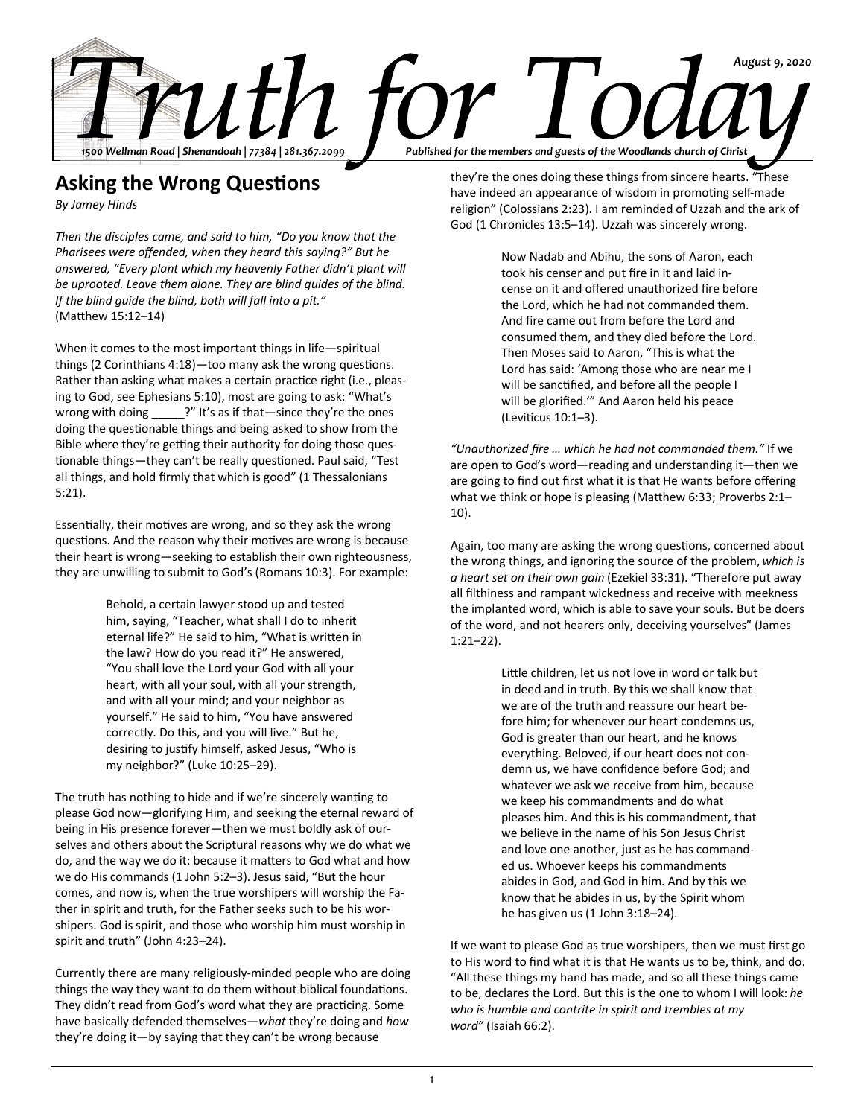

# **Asking the Wrong Questions**

*By Jamey Hinds*

*Then the disciples came, and said to him, "Do you know that the Pharisees were offended, when they heard this saying?" But he answered, "Every plant which my heavenly Father didn't plant will be uprooted. Leave them alone. They are blind guides of the blind. If the blind guide the blind, both will fall into a pit."* (Matthew 15:12–14)

When it comes to the most important things in life—spiritual things (2 Corinthians 4:18)—too many ask the wrong questions. Rather than asking what makes a certain practice right (i.e., pleasing to God, see Ephesians 5:10), most are going to ask: "What's wrong with doing \_\_\_\_\_?" It's as if that-since they're the ones doing the questionable things and being asked to show from the Bible where they're getting their authority for doing those questionable things—they can't be really questioned. Paul said, "Test all things, and hold firmly that which is good" (1 Thessalonians 5:21).

Essentially, their motives are wrong, and so they ask the wrong questions. And the reason why their motives are wrong is because their heart is wrong—seeking to establish their own righteousness, they are unwilling to submit to God's (Romans 10:3). For example:

> Behold, a certain lawyer stood up and tested him, saying, "Teacher, what shall I do to inherit eternal life?" He said to him, "What is written in the law? How do you read it?" He answered, "You shall love the Lord your God with all your heart, with all your soul, with all your strength, and with all your mind; and your neighbor as yourself." He said to him, "You have answered correctly. Do this, and you will live." But he, desiring to justify himself, asked Jesus, "Who is my neighbor?" (Luke 10:25–29).

The truth has nothing to hide and if we're sincerely wanting to please God now—glorifying Him, and seeking the eternal reward of being in His presence forever—then we must boldly ask of ourselves and others about the Scriptural reasons why we do what we do, and the way we do it: because it matters to God what and how we do His commands (1 John 5:2–3). Jesus said, "But the hour comes, and now is, when the true worshipers will worship the Father in spirit and truth, for the Father seeks such to be his worshipers. God is spirit, and those who worship him must worship in spirit and truth" (John 4:23–24).

Currently there are many religiously-minded people who are doing things the way they want to do them without biblical foundations. They didn't read from God's word what they are practicing. Some have basically defended themselves—*what* they're doing and *how* they're doing it—by saying that they can't be wrong because

they're the ones doing these things from sincere hearts. "These have indeed an appearance of wisdom in promoting self-made religion" (Colossians 2:23). I am reminded of Uzzah and the ark of God (1 Chronicles 13:5–14). Uzzah was sincerely wrong.

> Now Nadab and Abihu, the sons of Aaron, each took his censer and put fire in it and laid incense on it and offered unauthorized fire before the Lord, which he had not commanded them. And fire came out from before the Lord and consumed them, and they died before the Lord. Then Moses said to Aaron, "This is what the Lord has said: 'Among those who are near me I will be sanctified, and before all the people I will be glorified.'" And Aaron held his peace (Leviticus 10:1–3).

*"Unauthorized fire … which he had not commanded them."* If we are open to God's word—reading and understanding it—then we are going to find out first what it is that He wants before offering what we think or hope is pleasing (Matthew 6:33; Proverbs 2:1– 10).

Again, too many are asking the wrong questions, concerned about the wrong things, and ignoring the source of the problem, *which is a heart set on their own gain* (Ezekiel 33:31). "Therefore put away all filthiness and rampant wickedness and receive with meekness the implanted word, which is able to save your souls. But be doers of the word, and not hearers only, deceiving yourselves" (James 1:21–22).

> Little children, let us not love in word or talk but in deed and in truth. By this we shall know that we are of the truth and reassure our heart before him; for whenever our heart condemns us, God is greater than our heart, and he knows everything. Beloved, if our heart does not condemn us, we have confidence before God; and whatever we ask we receive from him, because we keep his commandments and do what pleases him. And this is his commandment, that we believe in the name of his Son Jesus Christ and love one another, just as he has commanded us. Whoever keeps his commandments abides in God, and God in him. And by this we know that he abides in us, by the Spirit whom he has given us (1 John 3:18–24).

If we want to please God as true worshipers, then we must first go to His word to find what it is that He wants us to be, think, and do. "All these things my hand has made, and so all these things came to be, declares the Lord. But this is the one to whom I will look: *he who is humble and contrite in spirit and trembles at my word"* (Isaiah 66:2).